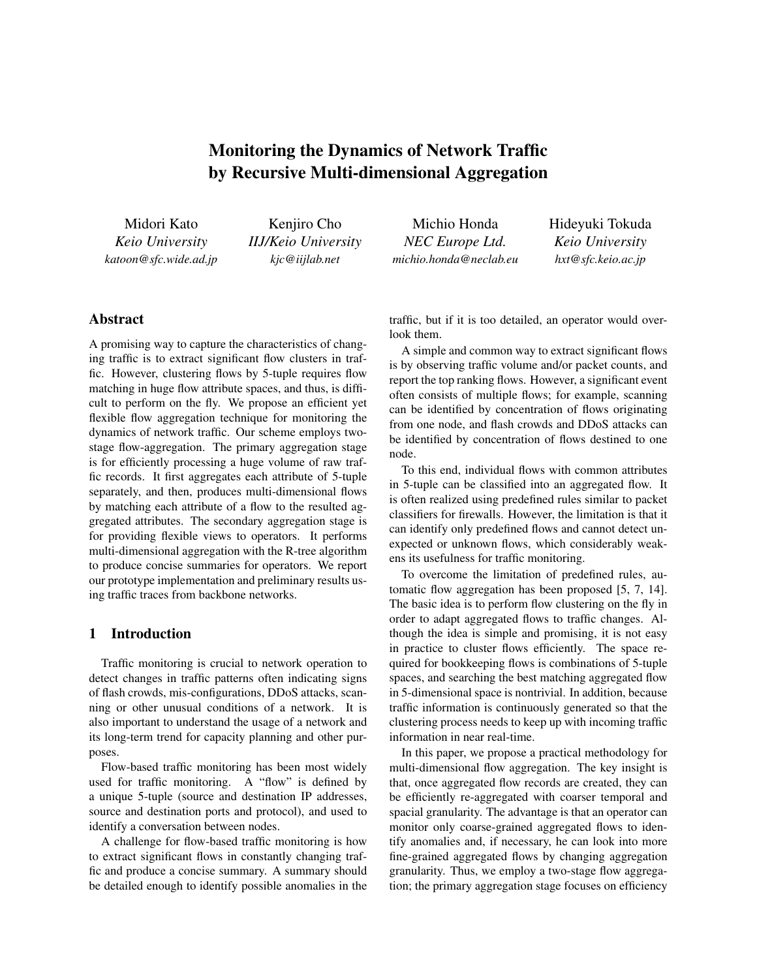# Monitoring the Dynamics of Network Traffic by Recursive Multi-dimensional Aggregation

Midori Kato *Keio University katoon@sfc.wide.ad.jp*

Kenjiro Cho *IIJ/Keio University kjc@iijlab.net*

Michio Honda *NEC Europe Ltd. michio.honda@neclab.eu*

Hideyuki Tokuda *Keio University hxt@sfc.keio.ac.jp*

## Abstract

A promising way to capture the characteristics of changing traffic is to extract significant flow clusters in traffic. However, clustering flows by 5-tuple requires flow matching in huge flow attribute spaces, and thus, is difficult to perform on the fly. We propose an efficient yet flexible flow aggregation technique for monitoring the dynamics of network traffic. Our scheme employs twostage flow-aggregation. The primary aggregation stage is for efficiently processing a huge volume of raw traffic records. It first aggregates each attribute of 5-tuple separately, and then, produces multi-dimensional flows by matching each attribute of a flow to the resulted aggregated attributes. The secondary aggregation stage is for providing flexible views to operators. It performs multi-dimensional aggregation with the R-tree algorithm to produce concise summaries for operators. We report our prototype implementation and preliminary results using traffic traces from backbone networks.

# 1 Introduction

Traffic monitoring is crucial to network operation to detect changes in traffic patterns often indicating signs of flash crowds, mis-configurations, DDoS attacks, scanning or other unusual conditions of a network. It is also important to understand the usage of a network and its long-term trend for capacity planning and other purposes.

Flow-based traffic monitoring has been most widely used for traffic monitoring. A "flow" is defined by a unique 5-tuple (source and destination IP addresses, source and destination ports and protocol), and used to identify a conversation between nodes.

A challenge for flow-based traffic monitoring is how to extract significant flows in constantly changing traffic and produce a concise summary. A summary should be detailed enough to identify possible anomalies in the traffic, but if it is too detailed, an operator would overlook them.

A simple and common way to extract significant flows is by observing traffic volume and/or packet counts, and report the top ranking flows. However, a significant event often consists of multiple flows; for example, scanning can be identified by concentration of flows originating from one node, and flash crowds and DDoS attacks can be identified by concentration of flows destined to one node.

To this end, individual flows with common attributes in 5-tuple can be classified into an aggregated flow. It is often realized using predefined rules similar to packet classifiers for firewalls. However, the limitation is that it can identify only predefined flows and cannot detect unexpected or unknown flows, which considerably weakens its usefulness for traffic monitoring.

To overcome the limitation of predefined rules, automatic flow aggregation has been proposed [5, 7, 14]. The basic idea is to perform flow clustering on the fly in order to adapt aggregated flows to traffic changes. Although the idea is simple and promising, it is not easy in practice to cluster flows efficiently. The space required for bookkeeping flows is combinations of 5-tuple spaces, and searching the best matching aggregated flow in 5-dimensional space is nontrivial. In addition, because traffic information is continuously generated so that the clustering process needs to keep up with incoming traffic information in near real-time.

In this paper, we propose a practical methodology for multi-dimensional flow aggregation. The key insight is that, once aggregated flow records are created, they can be efficiently re-aggregated with coarser temporal and spacial granularity. The advantage is that an operator can monitor only coarse-grained aggregated flows to identify anomalies and, if necessary, he can look into more fine-grained aggregated flows by changing aggregation granularity. Thus, we employ a two-stage flow aggregation; the primary aggregation stage focuses on efficiency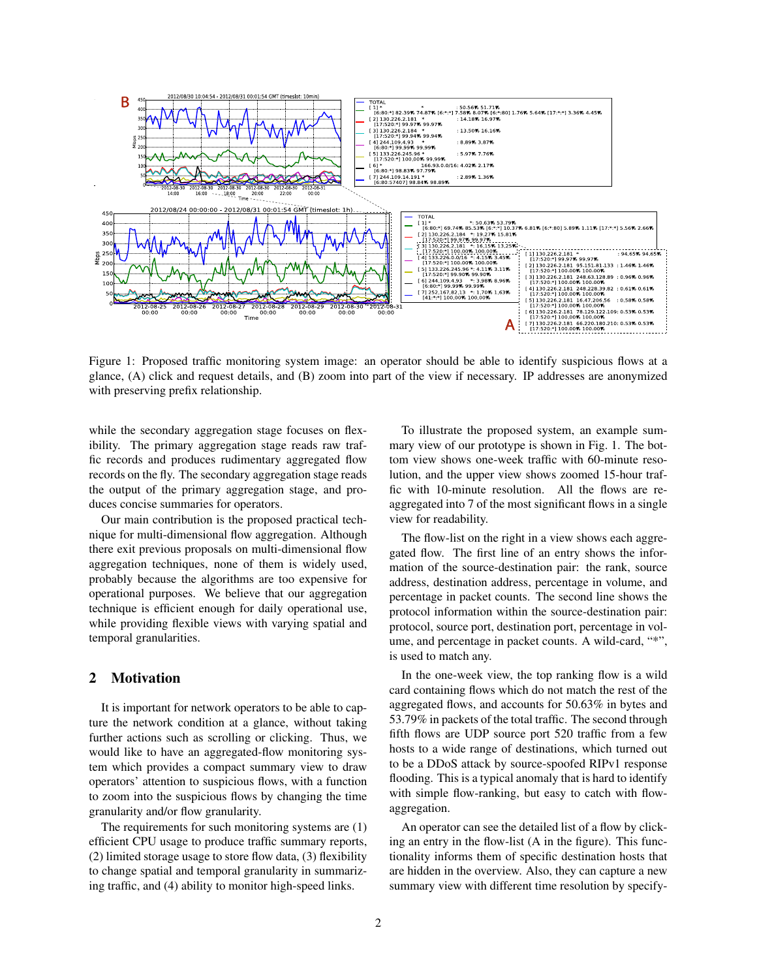

Figure 1: Proposed traffic monitoring system image: an operator should be able to identify suspicious flows at a glance, (A) click and request details, and (B) zoom into part of the view if necessary. IP addresses are anonymized with preserving prefix relationship.

while the secondary aggregation stage focuses on flexibility. The primary aggregation stage reads raw traffic records and produces rudimentary aggregated flow records on the fly. The secondary aggregation stage reads the output of the primary aggregation stage, and produces concise summaries for operators.

Our main contribution is the proposed practical technique for multi-dimensional flow aggregation. Although there exit previous proposals on multi-dimensional flow aggregation techniques, none of them is widely used, probably because the algorithms are too expensive for operational purposes. We believe that our aggregation technique is efficient enough for daily operational use, while providing flexible views with varying spatial and temporal granularities.

#### 2 Motivation

It is important for network operators to be able to capture the network condition at a glance, without taking further actions such as scrolling or clicking. Thus, we would like to have an aggregated-flow monitoring system which provides a compact summary view to draw operators' attention to suspicious flows, with a function to zoom into the suspicious flows by changing the time granularity and/or flow granularity.

The requirements for such monitoring systems are (1) efficient CPU usage to produce traffic summary reports, (2) limited storage usage to store flow data, (3) flexibility to change spatial and temporal granularity in summarizing traffic, and (4) ability to monitor high-speed links.

To illustrate the proposed system, an example summary view of our prototype is shown in Fig. 1. The bottom view shows one-week traffic with 60-minute resolution, and the upper view shows zoomed 15-hour traffic with 10-minute resolution. All the flows are reaggregated into 7 of the most significant flows in a single view for readability.

The flow-list on the right in a view shows each aggregated flow. The first line of an entry shows the information of the source-destination pair: the rank, source address, destination address, percentage in volume, and percentage in packet counts. The second line shows the protocol information within the source-destination pair: protocol, source port, destination port, percentage in volume, and percentage in packet counts. A wild-card, "\*", is used to match any.

In the one-week view, the top ranking flow is a wild card containing flows which do not match the rest of the aggregated flows, and accounts for 50.63% in bytes and 53.79% in packets of the total traffic. The second through fifth flows are UDP source port 520 traffic from a few hosts to a wide range of destinations, which turned out to be a DDoS attack by source-spoofed RIPv1 response flooding. This is a typical anomaly that is hard to identify with simple flow-ranking, but easy to catch with flowaggregation.

An operator can see the detailed list of a flow by clicking an entry in the flow-list (A in the figure). This functionality informs them of specific destination hosts that are hidden in the overview. Also, they can capture a new summary view with different time resolution by specify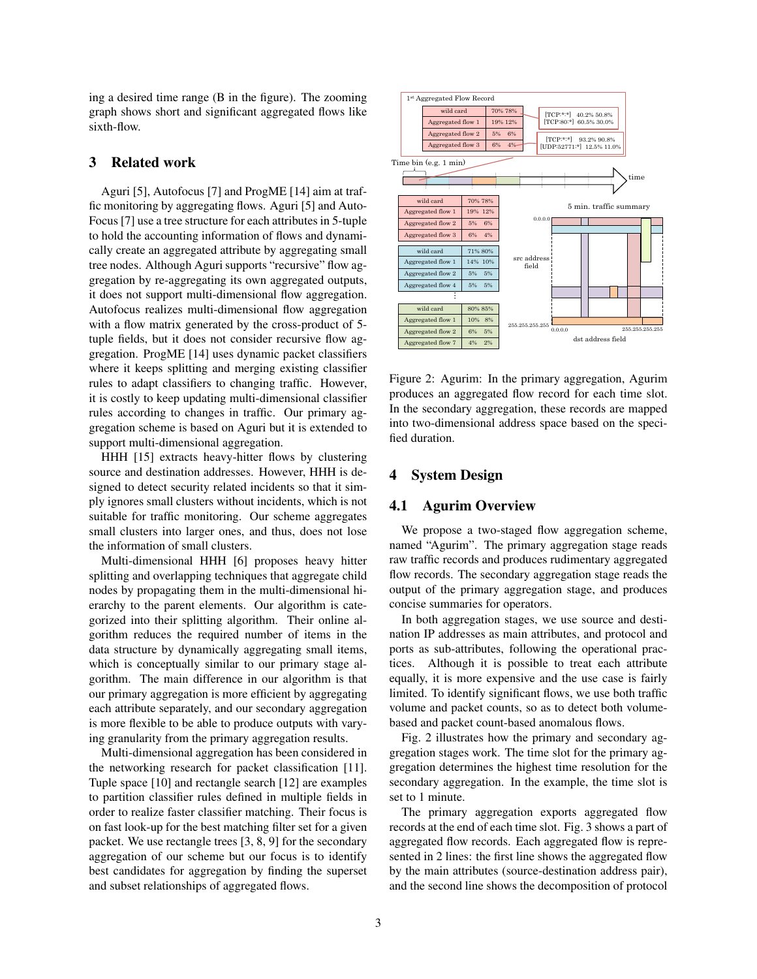ing a desired time range (B in the figure). The zooming graph shows short and significant aggregated flows like sixth-flow.

## 3 Related work

Aguri [5], Autofocus [7] and ProgME [14] aim at traffic monitoring by aggregating flows. Aguri [5] and Auto-Focus [7] use a tree structure for each attributes in 5-tuple to hold the accounting information of flows and dynamically create an aggregated attribute by aggregating small tree nodes. Although Aguri supports "recursive" flow aggregation by re-aggregating its own aggregated outputs, it does not support multi-dimensional flow aggregation. Autofocus realizes multi-dimensional flow aggregation with a flow matrix generated by the cross-product of 5 tuple fields, but it does not consider recursive flow aggregation. ProgME [14] uses dynamic packet classifiers where it keeps splitting and merging existing classifier rules to adapt classifiers to changing traffic. However, it is costly to keep updating multi-dimensional classifier rules according to changes in traffic. Our primary aggregation scheme is based on Aguri but it is extended to support multi-dimensional aggregation.

HHH [15] extracts heavy-hitter flows by clustering source and destination addresses. However, HHH is designed to detect security related incidents so that it simply ignores small clusters without incidents, which is not suitable for traffic monitoring. Our scheme aggregates small clusters into larger ones, and thus, does not lose the information of small clusters.

Multi-dimensional HHH [6] proposes heavy hitter splitting and overlapping techniques that aggregate child nodes by propagating them in the multi-dimensional hierarchy to the parent elements. Our algorithm is categorized into their splitting algorithm. Their online algorithm reduces the required number of items in the data structure by dynamically aggregating small items, which is conceptually similar to our primary stage algorithm. The main difference in our algorithm is that our primary aggregation is more efficient by aggregating each attribute separately, and our secondary aggregation is more flexible to be able to produce outputs with varying granularity from the primary aggregation results.

Multi-dimensional aggregation has been considered in the networking research for packet classification [11]. Tuple space [10] and rectangle search [12] are examples to partition classifier rules defined in multiple fields in order to realize faster classifier matching. Their focus is on fast look-up for the best matching filter set for a given packet. We use rectangle trees [3, 8, 9] for the secondary aggregation of our scheme but our focus is to identify best candidates for aggregation by finding the superset and subset relationships of aggregated flows.



Figure 2: Agurim: In the primary aggregation, Agurim produces an aggregated flow record for each time slot. In the secondary aggregation, these records are mapped into two-dimensional address space based on the specified duration.

# 4 System Design

#### 4.1 Agurim Overview

We propose a two-staged flow aggregation scheme, named "Agurim". The primary aggregation stage reads raw traffic records and produces rudimentary aggregated flow records. The secondary aggregation stage reads the output of the primary aggregation stage, and produces concise summaries for operators.

In both aggregation stages, we use source and destination IP addresses as main attributes, and protocol and ports as sub-attributes, following the operational practices. Although it is possible to treat each attribute equally, it is more expensive and the use case is fairly limited. To identify significant flows, we use both traffic volume and packet counts, so as to detect both volumebased and packet count-based anomalous flows.

Fig. 2 illustrates how the primary and secondary aggregation stages work. The time slot for the primary aggregation determines the highest time resolution for the secondary aggregation. In the example, the time slot is set to 1 minute.

The primary aggregation exports aggregated flow records at the end of each time slot. Fig. 3 shows a part of aggregated flow records. Each aggregated flow is represented in 2 lines: the first line shows the aggregated flow by the main attributes (source-destination address pair), and the second line shows the decomposition of protocol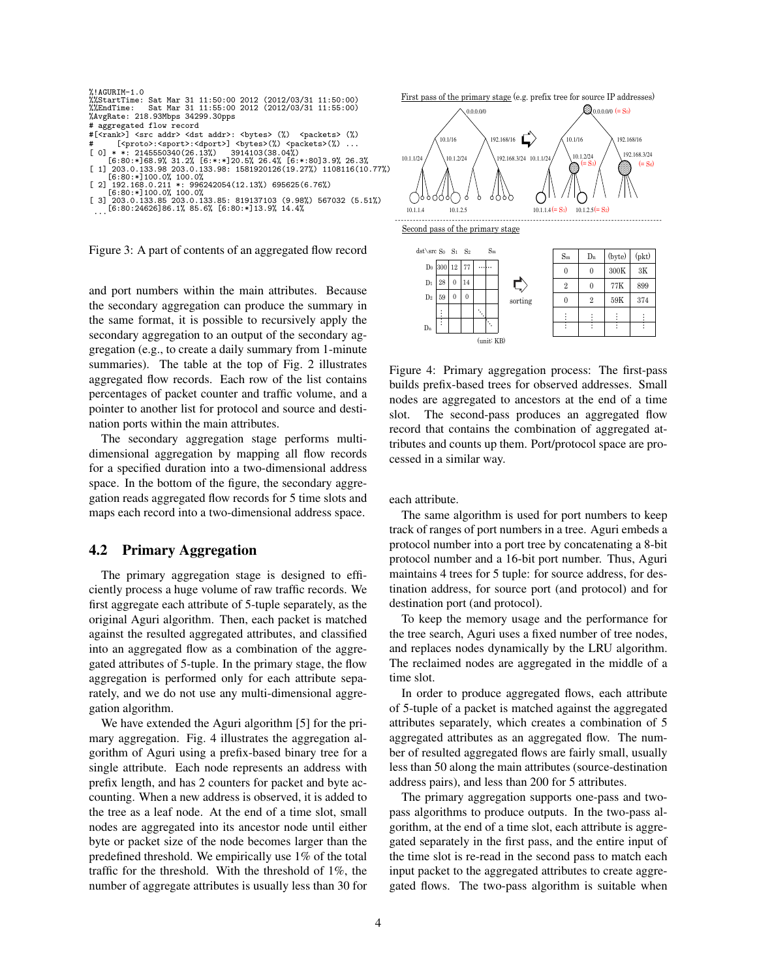

Figure 3: A part of contents of an aggregated flow record

and port numbers within the main attributes. Because the secondary aggregation can produce the summary in the same format, it is possible to recursively apply the secondary aggregation to an output of the secondary aggregation (e.g., to create a daily summary from 1-minute summaries). The table at the top of Fig. 2 illustrates aggregated flow records. Each row of the list contains percentages of packet counter and traffic volume, and a pointer to another list for protocol and source and destination ports within the main attributes.

The secondary aggregation stage performs multidimensional aggregation by mapping all flow records for a specified duration into a two-dimensional address space. In the bottom of the figure, the secondary aggregation reads aggregated flow records for 5 time slots and maps each record into a two-dimensional address space.

#### 4.2 Primary Aggregation

The primary aggregation stage is designed to efficiently process a huge volume of raw traffic records. We first aggregate each attribute of 5-tuple separately, as the original Aguri algorithm. Then, each packet is matched against the resulted aggregated attributes, and classified into an aggregated flow as a combination of the aggregated attributes of 5-tuple. In the primary stage, the flow aggregation is performed only for each attribute separately, and we do not use any multi-dimensional aggregation algorithm.

We have extended the Aguri algorithm [5] for the primary aggregation. Fig. 4 illustrates the aggregation algorithm of Aguri using a prefix-based binary tree for a single attribute. Each node represents an address with prefix length, and has 2 counters for packet and byte accounting. When a new address is observed, it is added to the tree as a leaf node. At the end of a time slot, small nodes are aggregated into its ancestor node until either byte or packet size of the node becomes larger than the predefined threshold. We empirically use 1% of the total traffic for the threshold. With the threshold of 1%, the number of aggregate attributes is usually less than 30 for First pass of the primary stage (e.g. prefix tree for source IP addresses)



Second pass of the primary stage



Figure 4: Primary aggregation process: The first-pass builds prefix-based trees for observed addresses. Small nodes are aggregated to ancestors at the end of a time slot. The second-pass produces an aggregated flow record that contains the combination of aggregated attributes and counts up them. Port/protocol space are processed in a similar way.

each attribute.

The same algorithm is used for port numbers to keep track of ranges of port numbers in a tree. Aguri embeds a protocol number into a port tree by concatenating a 8-bit protocol number and a 16-bit port number. Thus, Aguri maintains 4 trees for 5 tuple: for source address, for destination address, for source port (and protocol) and for destination port (and protocol).

To keep the memory usage and the performance for the tree search, Aguri uses a fixed number of tree nodes, and replaces nodes dynamically by the LRU algorithm. The reclaimed nodes are aggregated in the middle of a time slot.

In order to produce aggregated flows, each attribute of 5-tuple of a packet is matched against the aggregated attributes separately, which creates a combination of 5 aggregated attributes as an aggregated flow. The number of resulted aggregated flows are fairly small, usually less than 50 along the main attributes (source-destination address pairs), and less than 200 for 5 attributes.

The primary aggregation supports one-pass and twopass algorithms to produce outputs. In the two-pass algorithm, at the end of a time slot, each attribute is aggregated separately in the first pass, and the entire input of the time slot is re-read in the second pass to match each input packet to the aggregated attributes to create aggregated flows. The two-pass algorithm is suitable when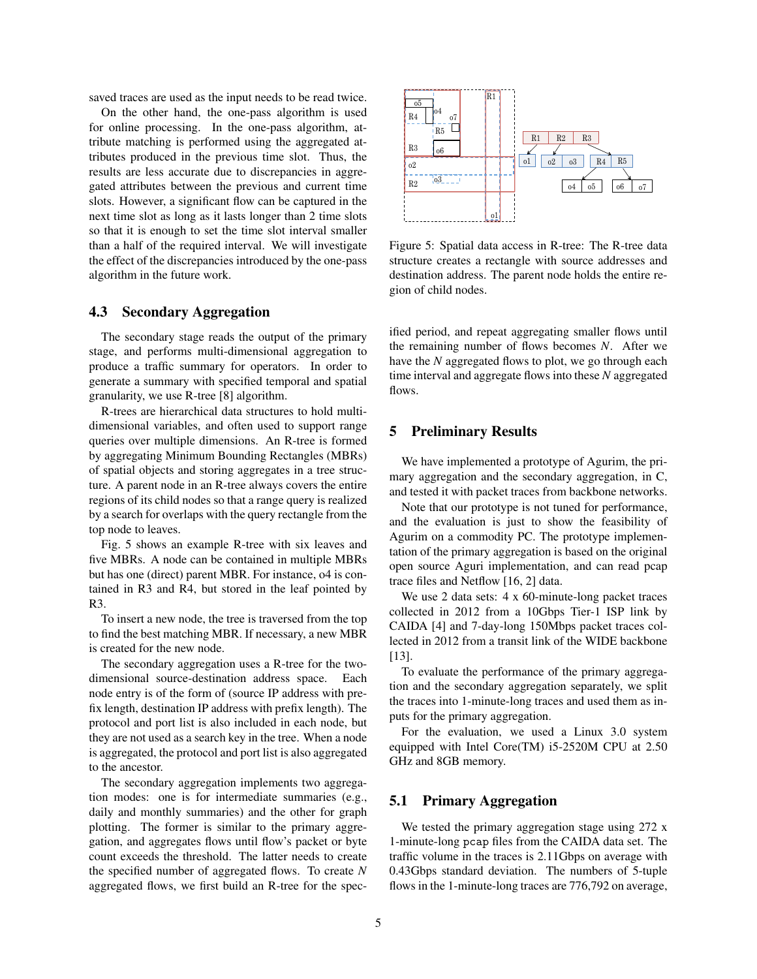saved traces are used as the input needs to be read twice.

On the other hand, the one-pass algorithm is used for online processing. In the one-pass algorithm, attribute matching is performed using the aggregated attributes produced in the previous time slot. Thus, the results are less accurate due to discrepancies in aggregated attributes between the previous and current time slots. However, a significant flow can be captured in the next time slot as long as it lasts longer than 2 time slots so that it is enough to set the time slot interval smaller than a half of the required interval. We will investigate the effect of the discrepancies introduced by the one-pass algorithm in the future work.

#### 4.3 Secondary Aggregation

The secondary stage reads the output of the primary stage, and performs multi-dimensional aggregation to produce a traffic summary for operators. In order to generate a summary with specified temporal and spatial granularity, we use R-tree [8] algorithm.

R-trees are hierarchical data structures to hold multidimensional variables, and often used to support range queries over multiple dimensions. An R-tree is formed by aggregating Minimum Bounding Rectangles (MBRs) of spatial objects and storing aggregates in a tree structure. A parent node in an R-tree always covers the entire regions of its child nodes so that a range query is realized by a search for overlaps with the query rectangle from the top node to leaves.

Fig. 5 shows an example R-tree with six leaves and five MBRs. A node can be contained in multiple MBRs but has one (direct) parent MBR. For instance, o4 is contained in R3 and R4, but stored in the leaf pointed by R3.

To insert a new node, the tree is traversed from the top to find the best matching MBR. If necessary, a new MBR is created for the new node.

The secondary aggregation uses a R-tree for the twodimensional source-destination address space. Each node entry is of the form of (source IP address with prefix length, destination IP address with prefix length). The protocol and port list is also included in each node, but they are not used as a search key in the tree. When a node is aggregated, the protocol and port list is also aggregated to the ancestor.

The secondary aggregation implements two aggregation modes: one is for intermediate summaries (e.g., daily and monthly summaries) and the other for graph plotting. The former is similar to the primary aggregation, and aggregates flows until flow's packet or byte count exceeds the threshold. The latter needs to create the specified number of aggregated flows. To create *N* aggregated flows, we first build an R-tree for the spec-



Figure 5: Spatial data access in R-tree: The R-tree data structure creates a rectangle with source addresses and destination address. The parent node holds the entire region of child nodes.

ified period, and repeat aggregating smaller flows until the remaining number of flows becomes *N*. After we have the *N* aggregated flows to plot, we go through each time interval and aggregate flows into these *N* aggregated flows.

#### 5 Preliminary Results

We have implemented a prototype of Agurim, the primary aggregation and the secondary aggregation, in C, and tested it with packet traces from backbone networks.

Note that our prototype is not tuned for performance, and the evaluation is just to show the feasibility of Agurim on a commodity PC. The prototype implementation of the primary aggregation is based on the original open source Aguri implementation, and can read pcap trace files and Netflow [16, 2] data.

We use 2 data sets: 4 x 60-minute-long packet traces collected in 2012 from a 10Gbps Tier-1 ISP link by CAIDA [4] and 7-day-long 150Mbps packet traces collected in 2012 from a transit link of the WIDE backbone [13].

To evaluate the performance of the primary aggregation and the secondary aggregation separately, we split the traces into 1-minute-long traces and used them as inputs for the primary aggregation.

For the evaluation, we used a Linux 3.0 system equipped with Intel Core(TM) i5-2520M CPU at 2.50 GHz and 8GB memory.

#### 5.1 Primary Aggregation

We tested the primary aggregation stage using 272 x 1-minute-long pcap files from the CAIDA data set. The traffic volume in the traces is 2.11Gbps on average with 0.43Gbps standard deviation. The numbers of 5-tuple flows in the 1-minute-long traces are 776,792 on average,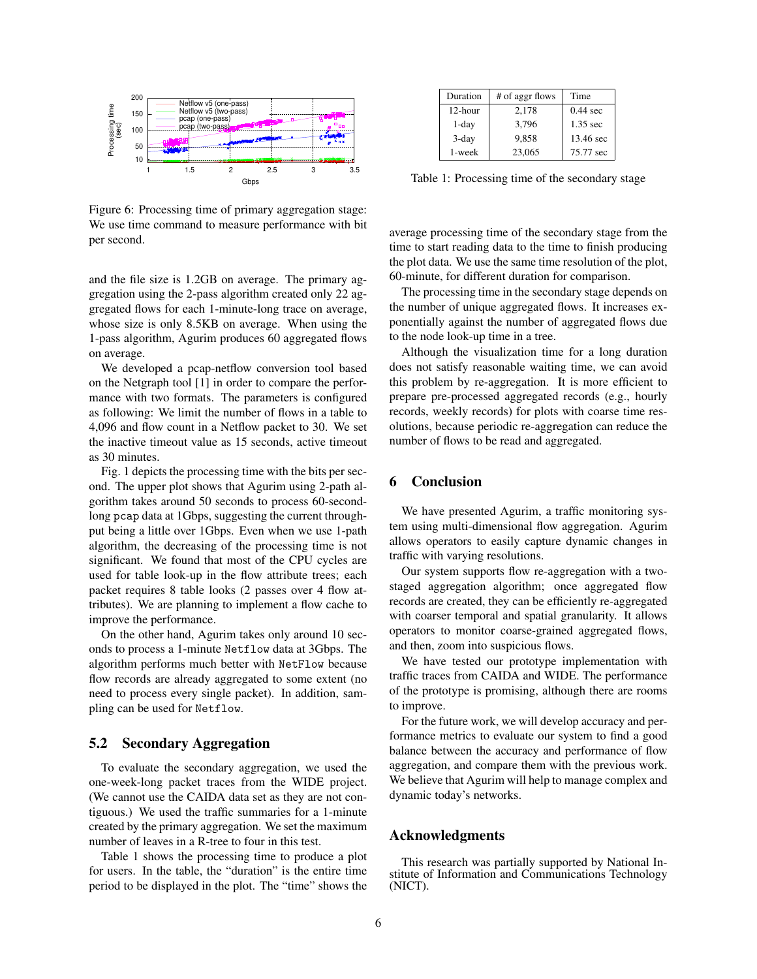

Figure 6: Processing time of primary aggregation stage: We use time command to measure performance with bit per second.

and the file size is 1.2GB on average. The primary aggregation using the 2-pass algorithm created only 22 aggregated flows for each 1-minute-long trace on average, whose size is only 8.5KB on average. When using the 1-pass algorithm, Agurim produces 60 aggregated flows on average.

We developed a pcap-netflow conversion tool based on the Netgraph tool [1] in order to compare the performance with two formats. The parameters is configured as following: We limit the number of flows in a table to 4,096 and flow count in a Netflow packet to 30. We set the inactive timeout value as 15 seconds, active timeout as 30 minutes.

Fig. 1 depicts the processing time with the bits per second. The upper plot shows that Agurim using 2-path algorithm takes around 50 seconds to process 60-secondlong pcap data at 1Gbps, suggesting the current throughput being a little over 1Gbps. Even when we use 1-path algorithm, the decreasing of the processing time is not significant. We found that most of the CPU cycles are used for table look-up in the flow attribute trees; each packet requires 8 table looks (2 passes over 4 flow attributes). We are planning to implement a flow cache to improve the performance.

On the other hand, Agurim takes only around 10 seconds to process a 1-minute Netflow data at 3Gbps. The algorithm performs much better with NetFlow because flow records are already aggregated to some extent (no need to process every single packet). In addition, sampling can be used for Netflow.

#### 5.2 Secondary Aggregation

To evaluate the secondary aggregation, we used the one-week-long packet traces from the WIDE project. (We cannot use the CAIDA data set as they are not contiguous.) We used the traffic summaries for a 1-minute created by the primary aggregation. We set the maximum number of leaves in a R-tree to four in this test.

Table 1 shows the processing time to produce a plot for users. In the table, the "duration" is the entire time period to be displayed in the plot. The "time" shows the

| Duration | # of aggr flows | Time               |
|----------|-----------------|--------------------|
| 12-hour  | 2,178           | $0.44 \text{ sec}$ |
| $1$ -day | 3.796           | 1.35 sec           |
| $3$ -day | 9.858           | 13.46 sec          |
| 1-week   | 23,065          | 75.77 sec          |

Table 1: Processing time of the secondary stage

average processing time of the secondary stage from the time to start reading data to the time to finish producing the plot data. We use the same time resolution of the plot, 60-minute, for different duration for comparison.

The processing time in the secondary stage depends on the number of unique aggregated flows. It increases exponentially against the number of aggregated flows due to the node look-up time in a tree.

Although the visualization time for a long duration does not satisfy reasonable waiting time, we can avoid this problem by re-aggregation. It is more efficient to prepare pre-processed aggregated records (e.g., hourly records, weekly records) for plots with coarse time resolutions, because periodic re-aggregation can reduce the number of flows to be read and aggregated.

# 6 Conclusion

We have presented Agurim, a traffic monitoring system using multi-dimensional flow aggregation. Agurim allows operators to easily capture dynamic changes in traffic with varying resolutions.

Our system supports flow re-aggregation with a twostaged aggregation algorithm; once aggregated flow records are created, they can be efficiently re-aggregated with coarser temporal and spatial granularity. It allows operators to monitor coarse-grained aggregated flows, and then, zoom into suspicious flows.

We have tested our prototype implementation with traffic traces from CAIDA and WIDE. The performance of the prototype is promising, although there are rooms to improve.

For the future work, we will develop accuracy and performance metrics to evaluate our system to find a good balance between the accuracy and performance of flow aggregation, and compare them with the previous work. We believe that Agurim will help to manage complex and dynamic today's networks.

## Acknowledgments

This research was partially supported by National Institute of Information and Communications Technology (NICT).